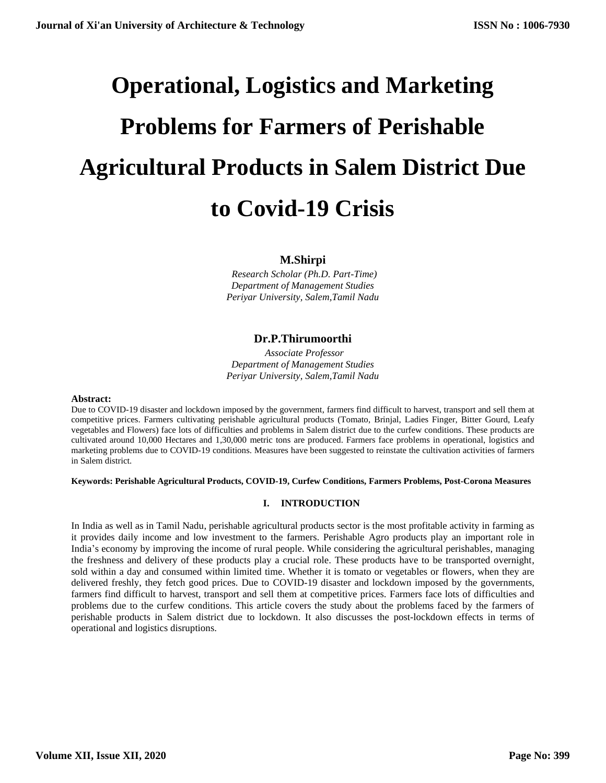# **Operational, Logistics and Marketing Problems for Farmers of Perishable Agricultural Products in Salem District Due to Covid-19 Crisis**

# **M.Shirpi**

 *Research Scholar (Ph.D. Part-Time) Department of Management Studies Periyar University, Salem,Tamil Nadu*

# **Dr.P.Thirumoorthi**

 *Associate Professor Department of Management Studies Periyar University, Salem,Tamil Nadu*

#### **Abstract:**

Due to COVID-19 disaster and lockdown imposed by the government, farmers find difficult to harvest, transport and sell them at competitive prices. Farmers cultivating perishable agricultural products (Tomato, Brinjal, Ladies Finger, Bitter Gourd, Leafy vegetables and Flowers) face lots of difficulties and problems in Salem district due to the curfew conditions. These products are cultivated around 10,000 Hectares and 1,30,000 metric tons are produced. Farmers face problems in operational, logistics and marketing problems due to COVID-19 conditions. Measures have been suggested to reinstate the cultivation activities of farmers in Salem district.

# **Keywords: Perishable Agricultural Products, COVID-19, Curfew Conditions, Farmers Problems, Post-Corona Measures**

# **I. INTRODUCTION**

In India as well as in Tamil Nadu, perishable agricultural products sector is the most profitable activity in farming as it provides daily income and low investment to the farmers. Perishable Agro products play an important role in India's economy by improving the income of rural people. While considering the agricultural perishables, managing the freshness and delivery of these products play a crucial role. These products have to be transported overnight, sold within a day and consumed within limited time. Whether it is tomato or vegetables or flowers, when they are delivered freshly, they fetch good prices. Due to COVID-19 disaster and lockdown imposed by the governments, farmers find difficult to harvest, transport and sell them at competitive prices. Farmers face lots of difficulties and problems due to the curfew conditions. This article covers the study about the problems faced by the farmers of perishable products in Salem district due to lockdown. It also discusses the post-lockdown effects in terms of operational and logistics disruptions.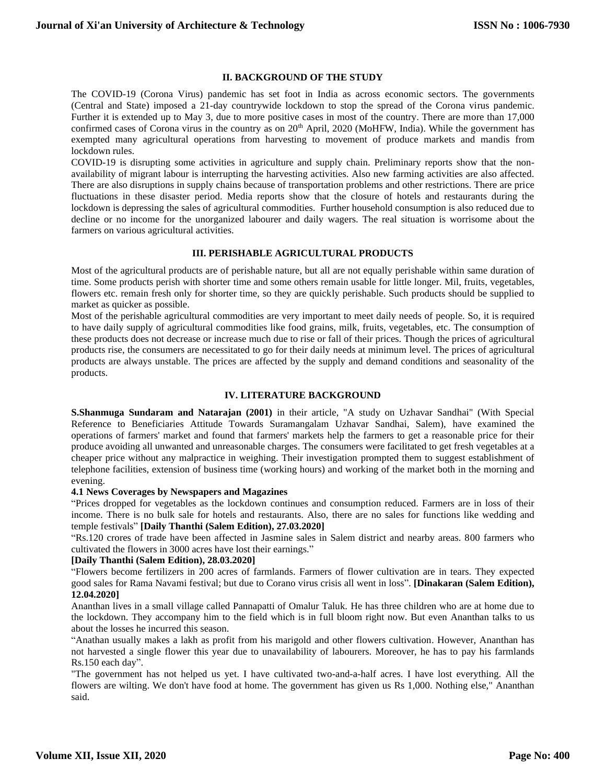#### **II. BACKGROUND OF THE STUDY**

The COVID-19 (Corona Virus) pandemic has set foot in India as across economic sectors. The governments (Central and State) imposed a 21-day countrywide lockdown to stop the spread of the Corona virus pandemic. Further it is extended up to May 3, due to more positive cases in most of the country. There are more than 17,000 confirmed cases of Corona virus in the country as on 20<sup>th</sup> April, 2020 (MoHFW, India). While the government has exempted many agricultural operations from harvesting to movement of produce markets and mandis from lockdown rules.

COVID-19 is disrupting some activities in agriculture and supply chain. Preliminary reports show that the nonavailability of migrant labour is interrupting the harvesting activities. Also new farming activities are also affected. There are also disruptions in supply chains because of transportation problems and other restrictions. There are price fluctuations in these disaster period. Media reports show that the closure of hotels and restaurants during the lockdown is depressing the sales of agricultural commodities. Further household consumption is also reduced due to decline or no income for the unorganized labourer and daily wagers. The real situation is worrisome about the farmers on various agricultural activities.

#### **III. PERISHABLE AGRICULTURAL PRODUCTS**

Most of the agricultural products are of perishable nature, but all are not equally perishable within same duration of time. Some products perish with shorter time and some others remain usable for little longer. Mil, fruits, vegetables, flowers etc. remain fresh only for shorter time, so they are quickly perishable. Such products should be supplied to market as quicker as possible.

Most of the perishable agricultural commodities are very important to meet daily needs of people. So, it is required to have daily supply of agricultural commodities like food grains, milk, fruits, vegetables, etc. The consumption of these products does not decrease or increase much due to rise or fall of their prices. Though the prices of agricultural products rise, the consumers are necessitated to go for their daily needs at minimum level. The prices of agricultural products are always unstable. The prices are affected by the supply and demand conditions and seasonality of the products.

#### **IV. LITERATURE BACKGROUND**

**S.Shanmuga Sundaram and Natarajan (2001)** in their article, "A study on Uzhavar Sandhai" (With Special Reference to Beneficiaries Attitude Towards Suramangalam Uzhavar Sandhai, Salem), have examined the operations of farmers' market and found that farmers' markets help the farmers to get a reasonable price for their produce avoiding all unwanted and unreasonable charges. The consumers were facilitated to get fresh vegetables at a cheaper price without any malpractice in weighing. Their investigation prompted them to suggest establishment of telephone facilities, extension of business time (working hours) and working of the market both in the morning and evening.

#### **4.1 News Coverages by Newspapers and Magazines**

"Prices dropped for vegetables as the lockdown continues and consumption reduced. Farmers are in loss of their income. There is no bulk sale for hotels and restaurants. Also, there are no sales for functions like wedding and temple festivals" **[Daily Thanthi (Salem Edition), 27.03.2020]**

"Rs.120 crores of trade have been affected in Jasmine sales in Salem district and nearby areas. 800 farmers who cultivated the flowers in 3000 acres have lost their earnings."

# **[Daily Thanthi (Salem Edition), 28.03.2020]**

"Flowers become fertilizers in 200 acres of farmlands. Farmers of flower cultivation are in tears. They expected good sales for Rama Navami festival; but due to Corano virus crisis all went in loss". **[Dinakaran (Salem Edition), 12.04.2020]**

Ananthan lives in a small village called Pannapatti of Omalur Taluk. He has three children who are at home due to the lockdown. They accompany him to the field which is in full bloom right now. But even Ananthan talks to us about the losses he incurred this season.

"Anathan usually makes a lakh as profit from his marigold and other flowers cultivation. However, Ananthan has not harvested a single flower this year due to unavailability of labourers. Moreover, he has to pay his farmlands Rs.150 each day".

"The government has not helped us yet. I have cultivated two-and-a-half acres. I have lost everything. All the flowers are wilting. We don't have food at home. The government has given us Rs 1,000. Nothing else," Ananthan said.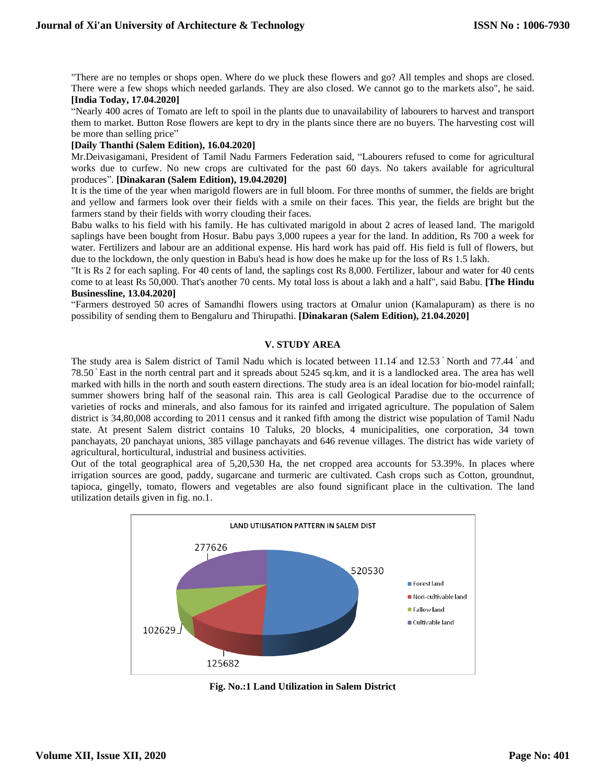"There are no temples or shops open. Where do we pluck these flowers and go? All temples and shops are closed. There were a few shops which needed garlands. They are also closed. We cannot go to the markets also", he said. **[India Today, 17.04.2020]**

"Nearly 400 acres of Tomato are left to spoil in the plants due to unavailability of labourers to harvest and transport them to market. Button Rose flowers are kept to dry in the plants since there are no buyers. The harvesting cost will be more than selling price"

#### **[Daily Thanthi (Salem Edition), 16.04.2020]**

Mr.Deivasigamani, President of Tamil Nadu Farmers Federation said, "Labourers refused to come for agricultural works due to curfew. No new crops are cultivated for the past 60 days. No takers available for agricultural produces". **[Dinakaran (Salem Edition), 19.04.2020]**

It is the time of the year when marigold flowers are in full bloom. For three months of summer, the fields are bright and yellow and farmers look over their fields with a smile on their faces. This year, the fields are bright but the farmers stand by their fields with worry clouding their faces.

Babu walks to his field with his family. He has cultivated marigold in about 2 acres of leased land. The marigold saplings have been bought from Hosur. Babu pays 3,000 rupees a year for the land. In addition, Rs 700 a week for water. Fertilizers and labour are an additional expense. His hard work has paid off. His field is full of flowers, but due to the lockdown, the only question in Babu's head is how does he make up for the loss of Rs 1.5 lakh.

"It is Rs 2 for each sapling. For 40 cents of land, the saplings cost Rs 8,000. Fertilizer, labour and water for 40 cents come to at least Rs 50,000. That's another 70 cents. My total loss is about a lakh and a half", said Babu. **[The Hindu Businessline, 13.04.2020]**

"Farmers destroyed 50 acres of Samandhi flowers using tractors at Omalur union (Kamalapuram) as there is no possibility of sending them to Bengaluru and Thirupathi. **[Dinakaran (Salem Edition), 21.04.2020]**

# **V. STUDY AREA**

The study area is Salem district of Tamil Nadu which is located between 11.14 and 12.53 North and 77.44 and 78.50 East in the north central part and it spreads about 5245 sq.km, and it is a landlocked area. The area has well marked with hills in the north and south eastern directions. The study area is an ideal location for bio-model rainfall; summer showers bring half of the seasonal rain. This area is call Geological Paradise due to the occurrence of varieties of rocks and minerals, and also famous for its rainfed and irrigated agriculture. The population of Salem district is 34,80,008 according to 2011 census and it ranked fifth among the district wise population of Tamil Nadu state. At present Salem district contains 10 Taluks, 20 blocks, 4 municipalities, one corporation, 34 town panchayats, 20 panchayat unions, 385 village panchayats and 646 revenue villages. The district has wide variety of agricultural, horticultural, industrial and business activities.

Out of the total geographical area of 5,20,530 Ha, the net cropped area accounts for 53.39%. In places where irrigation sources are good, paddy, sugarcane and turmeric are cultivated. Cash crops such as Cotton, groundnut, tapioca, gingelly, tomato, flowers and vegetables are also found significant place in the cultivation. The land utilization details given in fig. no.1.



**Fig. No.:1 Land Utilization in Salem District**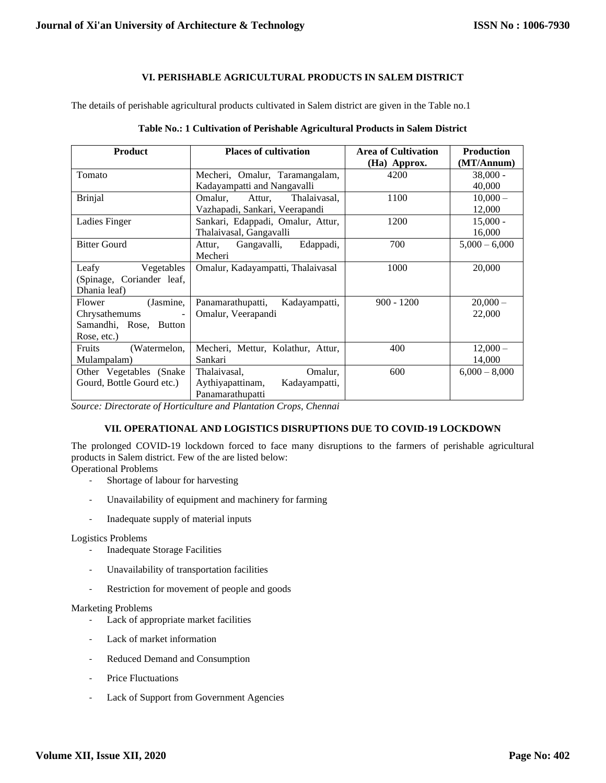# **VI. PERISHABLE AGRICULTURAL PRODUCTS IN SALEM DISTRICT**

The details of perishable agricultural products cultivated in Salem district are given in the Table no.1

| <b>Product</b>                            | <b>Places of cultivation</b>       | <b>Area of Cultivation</b> | <b>Production</b> |
|-------------------------------------------|------------------------------------|----------------------------|-------------------|
|                                           |                                    | (Ha) Approx.               | (MT/Annum)        |
| Tomato                                    | Mecheri, Omalur, Taramangalam,     | 4200                       | $38,000 -$        |
|                                           | Kadayampatti and Nangavalli        |                            | 40,000            |
| <b>Brinjal</b>                            | Omalur,<br>Thalaivasal,<br>Attur,  | 1100                       | $10,000-$         |
|                                           | Vazhapadi, Sankari, Veerapandi     |                            | 12,000            |
| Ladies Finger                             | Sankari, Edappadi, Omalur, Attur,  | 1200                       | $15,000 -$        |
|                                           | Thalaivasal, Gangavalli            |                            | 16,000            |
| <b>Bitter Gourd</b>                       | Gangavalli,<br>Edappadi,<br>Attur, | 700                        | $5,000 - 6,000$   |
|                                           | Mecheri                            |                            |                   |
| Leafy<br>Vegetables                       | Omalur, Kadayampatti, Thalaivasal  | 1000                       | 20,000            |
| (Spinage, Coriander leaf,                 |                                    |                            |                   |
| Dhania leaf)                              |                                    |                            |                   |
| (Jasmine,<br>Flower                       | Panamarathupatti,<br>Kadayampatti, | $900 - 1200$               | $20,000 -$        |
| Chrysathemums<br>$\overline{\phantom{a}}$ | Omalur, Veerapandi                 |                            | 22,000            |
| Samandhi, Rose, Button                    |                                    |                            |                   |
| Rose, etc.)                               |                                    |                            |                   |
| Fruits<br>(Watermelon,                    | Mecheri, Mettur, Kolathur, Attur,  | 400                        | $12,000-$         |
| Mulampalam)                               | Sankari                            |                            | 14,000            |
| Other Vegetables (Snake)                  | Omalur,<br>Thalaivasal,            | 600                        | $6,000 - 8,000$   |
| Gourd, Bottle Gourd etc.)                 | Aythiyapattinam,<br>Kadayampatti,  |                            |                   |
|                                           | Panamarathupatti                   |                            |                   |

#### **Table No.: 1 Cultivation of Perishable Agricultural Products in Salem District**

*Source: Directorate of Horticulture and Plantation Crops, Chennai*

# **VII. OPERATIONAL AND LOGISTICS DISRUPTIONS DUE TO COVID-19 LOCKDOWN**

The prolonged COVID-19 lockdown forced to face many disruptions to the farmers of perishable agricultural products in Salem district. Few of the are listed below:

Operational Problems

- Shortage of labour for harvesting
- Unavailability of equipment and machinery for farming
- Inadequate supply of material inputs

# Logistics Problems

- Inadequate Storage Facilities
- Unavailability of transportation facilities
- Restriction for movement of people and goods

# Marketing Problems

- Lack of appropriate market facilities
- Lack of market information
- Reduced Demand and Consumption
- Price Fluctuations
- Lack of Support from Government Agencies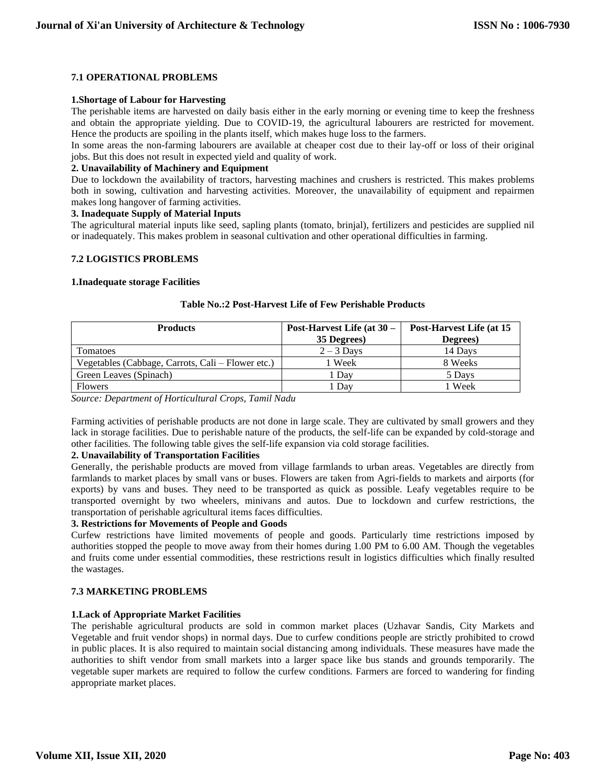# **7.1 OPERATIONAL PROBLEMS**

#### **1.Shortage of Labour for Harvesting**

The perishable items are harvested on daily basis either in the early morning or evening time to keep the freshness and obtain the appropriate yielding. Due to COVID-19, the agricultural labourers are restricted for movement. Hence the products are spoiling in the plants itself, which makes huge loss to the farmers.

In some areas the non-farming labourers are available at cheaper cost due to their lay-off or loss of their original jobs. But this does not result in expected yield and quality of work.

#### **2. Unavailability of Machinery and Equipment**

Due to lockdown the availability of tractors, harvesting machines and crushers is restricted. This makes problems both in sowing, cultivation and harvesting activities. Moreover, the unavailability of equipment and repairmen makes long hangover of farming activities.

#### **3. Inadequate Supply of Material Inputs**

The agricultural material inputs like seed, sapling plants (tomato, brinjal), fertilizers and pesticides are supplied nil or inadequately. This makes problem in seasonal cultivation and other operational difficulties in farming.

#### **7.2 LOGISTICS PROBLEMS**

#### **1.Inadequate storage Facilities**

| <b>Products</b>                                   | Post-Harvest Life (at 30 – | Post-Harvest Life (at 15 |  |
|---------------------------------------------------|----------------------------|--------------------------|--|
|                                                   | 35 Degrees)                | Degrees)                 |  |
| Tomatoes                                          | $2 - 3$ Days               | 14 Days                  |  |
| Vegetables (Cabbage, Carrots, Cali – Flower etc.) | l Week                     | 8 Weeks                  |  |
| Green Leaves (Spinach)                            | 1 Dav                      | 5 Days                   |  |
| <b>Flowers</b>                                    | l Dav                      | 1 Week                   |  |

#### **Table No.:2 Post-Harvest Life of Few Perishable Products**

*Source: Department of Horticultural Crops, Tamil Nadu*

Farming activities of perishable products are not done in large scale. They are cultivated by small growers and they lack in storage facilities. Due to perishable nature of the products, the self-life can be expanded by cold-storage and other facilities. The following table gives the self-life expansion via cold storage facilities.

# **2. Unavailability of Transportation Facilities**

Generally, the perishable products are moved from village farmlands to urban areas. Vegetables are directly from farmlands to market places by small vans or buses. Flowers are taken from Agri-fields to markets and airports (for exports) by vans and buses. They need to be transported as quick as possible. Leafy vegetables require to be transported overnight by two wheelers, minivans and autos. Due to lockdown and curfew restrictions, the transportation of perishable agricultural items faces difficulties.

# **3. Restrictions for Movements of People and Goods**

Curfew restrictions have limited movements of people and goods. Particularly time restrictions imposed by authorities stopped the people to move away from their homes during 1.00 PM to 6.00 AM. Though the vegetables and fruits come under essential commodities, these restrictions result in logistics difficulties which finally resulted the wastages.

# **7.3 MARKETING PROBLEMS**

# **1.Lack of Appropriate Market Facilities**

The perishable agricultural products are sold in common market places (Uzhavar Sandis, City Markets and Vegetable and fruit vendor shops) in normal days. Due to curfew conditions people are strictly prohibited to crowd in public places. It is also required to maintain social distancing among individuals. These measures have made the authorities to shift vendor from small markets into a larger space like bus stands and grounds temporarily. The vegetable super markets are required to follow the curfew conditions. Farmers are forced to wandering for finding appropriate market places.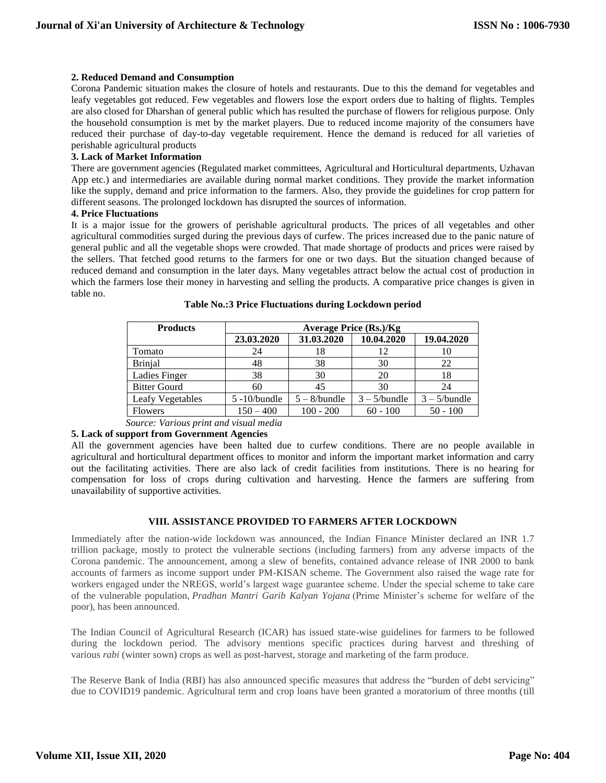#### **2. Reduced Demand and Consumption**

Corona Pandemic situation makes the closure of hotels and restaurants. Due to this the demand for vegetables and leafy vegetables got reduced. Few vegetables and flowers lose the export orders due to halting of flights. Temples are also closed for Dharshan of general public which has resulted the purchase of flowers for religious purpose. Only the household consumption is met by the market players. Due to reduced income majority of the consumers have reduced their purchase of day-to-day vegetable requirement. Hence the demand is reduced for all varieties of perishable agricultural products

# **3. Lack of Market Information**

There are government agencies (Regulated market committees, Agricultural and Horticultural departments, Uzhavan App etc.) and intermediaries are available during normal market conditions. They provide the market information like the supply, demand and price information to the farmers. Also, they provide the guidelines for crop pattern for different seasons. The prolonged lockdown has disrupted the sources of information.

#### **4. Price Fluctuations**

It is a major issue for the growers of perishable agricultural products. The prices of all vegetables and other agricultural commodities surged during the previous days of curfew. The prices increased due to the panic nature of general public and all the vegetable shops were crowded. That made shortage of products and prices were raised by the sellers. That fetched good returns to the farmers for one or two days. But the situation changed because of reduced demand and consumption in the later days. Many vegetables attract below the actual cost of production in which the farmers lose their money in harvesting and selling the products. A comparative price changes is given in table no.

| <b>Products</b>     | Average Price (Rs.)/Kg |                 |                 |                 |  |
|---------------------|------------------------|-----------------|-----------------|-----------------|--|
|                     | 23.03.2020             | 31.03.2020      | 10.04.2020      | 19.04.2020      |  |
| Tomato              | 24                     | 18              | 12              | 10              |  |
| <b>Brinjal</b>      | 48                     | 38              | 30              | 22              |  |
| Ladies Finger       | 38                     | 30              | 20              | 18              |  |
| <b>Bitter Gourd</b> | 60                     | 45              | 30              | 24              |  |
| Leafy Vegetables    | $5 - 10$ /bundle       | $5 - 8$ /bundle | $3 - 5$ /bundle | $3 - 5$ /bundle |  |
| <b>Flowers</b>      | $150 - 400$            | $100 - 200$     | $60 - 100$      | $50 - 100$      |  |

**Table No.:3 Price Fluctuations during Lockdown period**

 *Source: Various print and visual media*

# **5. Lack of support from Government Agencies**

All the government agencies have been halted due to curfew conditions. There are no people available in agricultural and horticultural department offices to monitor and inform the important market information and carry out the facilitating activities. There are also lack of credit facilities from institutions. There is no hearing for compensation for loss of crops during cultivation and harvesting. Hence the farmers are suffering from unavailability of supportive activities.

# **VIII. ASSISTANCE PROVIDED TO FARMERS AFTER LOCKDOWN**

Immediately after the nation-wide lockdown was announced, the Indian Finance Minister declared an INR 1.7 trillion package, mostly to protect the vulnerable sections (including farmers) from any adverse impacts of the Corona pandemic. The announcement, among a slew of benefits, contained advance release of INR 2000 to bank accounts of farmers as income support under PM-KISAN scheme. The Government also raised the wage rate for workers engaged under the NREGS, world's largest wage guarantee scheme. Under the special scheme to take care of the vulnerable population, *Pradhan Mantri Garib Kalyan Yojana* (Prime Minister's scheme for welfare of the poor), has been announced.

The Indian Council of Agricultural Research (ICAR) has issued state-wise guidelines for farmers to be followed during the lockdown period. The advisory mentions specific practices during harvest and threshing of various *rabi* (winter sown) crops as well as post-harvest, storage and marketing of the farm produce.

The Reserve Bank of India (RBI) has also announced specific measures that address the "burden of debt servicing" due to COVID19 pandemic. Agricultural term and crop loans have been granted a moratorium of three months (till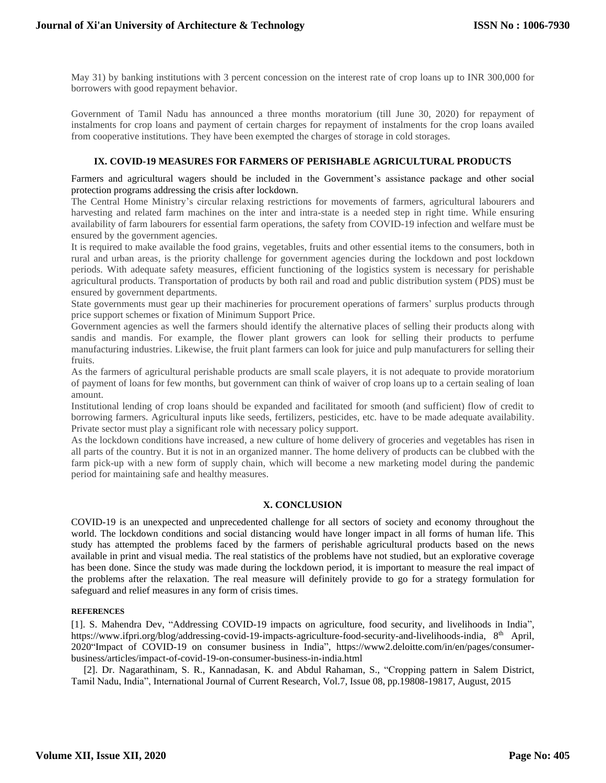May 31) by banking institutions with 3 percent concession on the interest rate of crop loans up to INR 300,000 for borrowers with good repayment behavior.

Government of Tamil Nadu has announced a three months moratorium (till June 30, 2020) for repayment of instalments for crop loans and payment of certain charges for repayment of instalments for the crop loans availed from cooperative institutions. They have been exempted the charges of storage in cold storages.

#### **IX. COVID-19 MEASURES FOR FARMERS OF PERISHABLE AGRICULTURAL PRODUCTS**

Farmers and agricultural wagers should be included in the Government's assistance package and other social protection programs addressing the crisis after lockdown.

The Central Home Ministry's circular relaxing restrictions for movements of farmers, agricultural labourers and harvesting and related farm machines on the inter and intra-state is a needed step in right time. While ensuring availability of farm labourers for essential farm operations, the safety from COVID-19 infection and welfare must be ensured by the government agencies.

It is required to make available the food grains, vegetables, fruits and other essential items to the consumers, both in rural and urban areas, is the priority challenge for government agencies during the lockdown and post lockdown periods. With adequate safety measures, efficient functioning of the logistics system is necessary for perishable agricultural products. Transportation of products by both rail and road and public distribution system (PDS) must be ensured by government departments.

State governments must gear up their machineries for procurement operations of farmers' surplus products through price support schemes or fixation of Minimum Support Price.

Government agencies as well the farmers should identify the alternative places of selling their products along with sandis and mandis. For example, the flower plant growers can look for selling their products to perfume manufacturing industries. Likewise, the fruit plant farmers can look for juice and pulp manufacturers for selling their fruits.

As the farmers of agricultural perishable products are small scale players, it is not adequate to provide moratorium of payment of loans for few months, but government can think of waiver of crop loans up to a certain sealing of loan amount.

Institutional lending of crop loans should be expanded and facilitated for smooth (and sufficient) flow of credit to borrowing farmers. Agricultural inputs like seeds, fertilizers, pesticides, etc. have to be made adequate availability. Private sector must play a significant role with necessary policy support.

As the lockdown conditions have increased, a new culture of home delivery of groceries and vegetables has risen in all parts of the country. But it is not in an organized manner. The home delivery of products can be clubbed with the farm pick-up with a new form of supply chain, which will become a new marketing model during the pandemic period for maintaining safe and healthy measures.

# **X. CONCLUSION**

COVID-19 is an unexpected and unprecedented challenge for all sectors of society and economy throughout the world. The lockdown conditions and social distancing would have longer impact in all forms of human life. This study has attempted the problems faced by the farmers of perishable agricultural products based on the news available in print and visual media. The real statistics of the problems have not studied, but an explorative coverage has been done. Since the study was made during the lockdown period, it is important to measure the real impact of the problems after the relaxation. The real measure will definitely provide to go for a strategy formulation for safeguard and relief measures in any form of crisis times.

#### **REFERENCES**

[1]. S. Mahendra Dev, "Addressing COVID-19 impacts on agriculture, food security, and livelihoods in India", [https://www.ifpri.org/blog/addressing-covid-19-impacts-agriculture-food-security-and-livelihoods-india,](https://www.ifpri.org/blog/addressing-covid-19-impacts-agriculture-food-security-and-livelihoods-india) 8th April, 2020"Impact of COVID-19 on consumer business in India", [https://www2.deloitte.com/in/en/pages/consumer](https://www2.deloitte.com/in/en/pages/consumer-business/articles/impact-of-covid-19-on-consumer-business-in-india.html)[business/articles/impact-of-covid-19-on-consumer-business-in-india.html](https://www2.deloitte.com/in/en/pages/consumer-business/articles/impact-of-covid-19-on-consumer-business-in-india.html)

 [2]. Dr. Nagarathinam, S. R., Kannadasan, K. and Abdul Rahaman, S., "Cropping pattern in Salem District, Tamil Nadu, India", International Journal of Current Research, Vol.7, Issue 08, pp.19808-19817, August, 2015